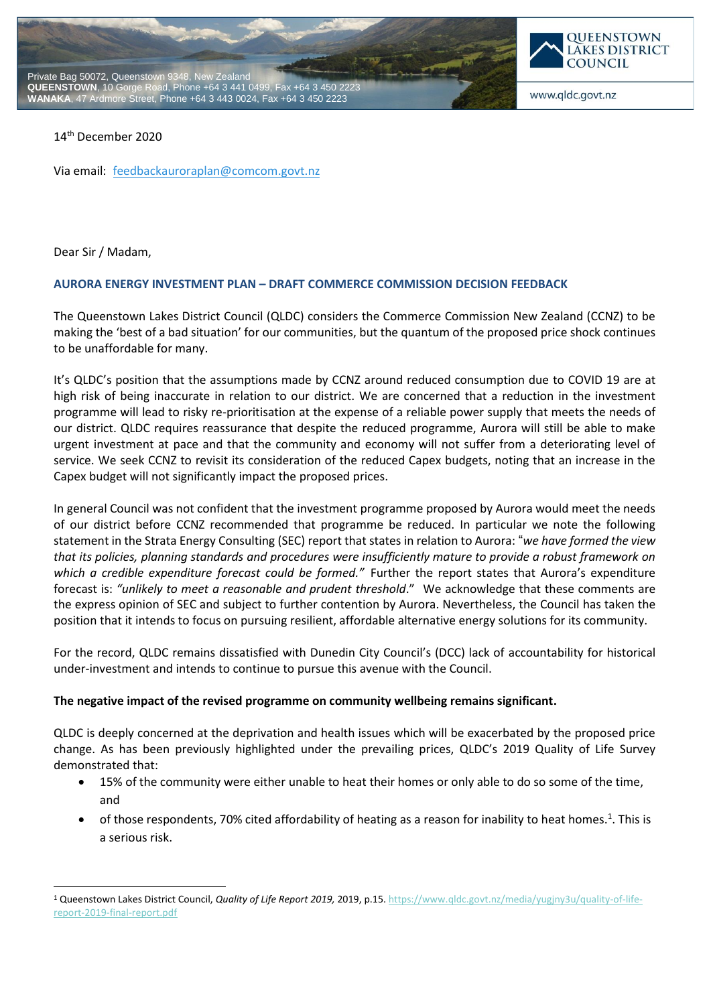



www.qldc.govt.nz

### 14 th December 2020

Via email: [feedbackauroraplan@comcom.govt.nz](mailto:feedbackauroraplan@comcom.govt.nz)

Dear Sir / Madam,

-

#### **AURORA ENERGY INVESTMENT PLAN – DRAFT COMMERCE COMMISSION DECISION FEEDBACK**

The Queenstown Lakes District Council (QLDC) considers the Commerce Commission New Zealand (CCNZ) to be making the 'best of a bad situation' for our communities, but the quantum of the proposed price shock continues to be unaffordable for many.

It's QLDC's position that the assumptions made by CCNZ around reduced consumption due to COVID 19 are at high risk of being inaccurate in relation to our district. We are concerned that a reduction in the investment programme will lead to risky re-prioritisation at the expense of a reliable power supply that meets the needs of our district. QLDC requires reassurance that despite the reduced programme, Aurora will still be able to make urgent investment at pace and that the community and economy will not suffer from a deteriorating level of service. We seek CCNZ to revisit its consideration of the reduced Capex budgets, noting that an increase in the Capex budget will not significantly impact the proposed prices.

In general Council was not confident that the investment programme proposed by Aurora would meet the needs of our district before CCNZ recommended that programme be reduced. In particular we note the following statement in the Strata Energy Consulting (SEC) report that states in relation to Aurora: "*we have formed the view that its policies, planning standards and procedures were insufficiently mature to provide a robust framework on which a credible expenditure forecast could be formed."* Further the report states that Aurora's expenditure forecast is: *"unlikely to meet a reasonable and prudent threshold*." We acknowledge that these comments are the express opinion of SEC and subject to further contention by Aurora. Nevertheless, the Council has taken the position that it intends to focus on pursuing resilient, affordable alternative energy solutions for its community.

For the record, QLDC remains dissatisfied with Dunedin City Council's (DCC) lack of accountability for historical under-investment and intends to continue to pursue this avenue with the Council.

#### **The negative impact of the revised programme on community wellbeing remains significant.**

QLDC is deeply concerned at the deprivation and health issues which will be exacerbated by the proposed price change. As has been previously highlighted under the prevailing prices, QLDC's 2019 Quality of Life Survey demonstrated that:

- 15% of the community were either unable to heat their homes or only able to do so some of the time, and
- $\bullet$  of those respondents, 70% cited affordability of heating as a reason for inability to heat homes.<sup>1</sup>. This is a serious risk.

<sup>1</sup> Queenstown Lakes District Council, *Quality of Life Report 2019,* 2019, p.15[. https://www.qldc.govt.nz/media/yugjny3u/quality-of-life](https://www.qldc.govt.nz/media/yugjny3u/quality-of-life-report-2019-final-report.pdf)[report-2019-final-report.pdf](https://www.qldc.govt.nz/media/yugjny3u/quality-of-life-report-2019-final-report.pdf)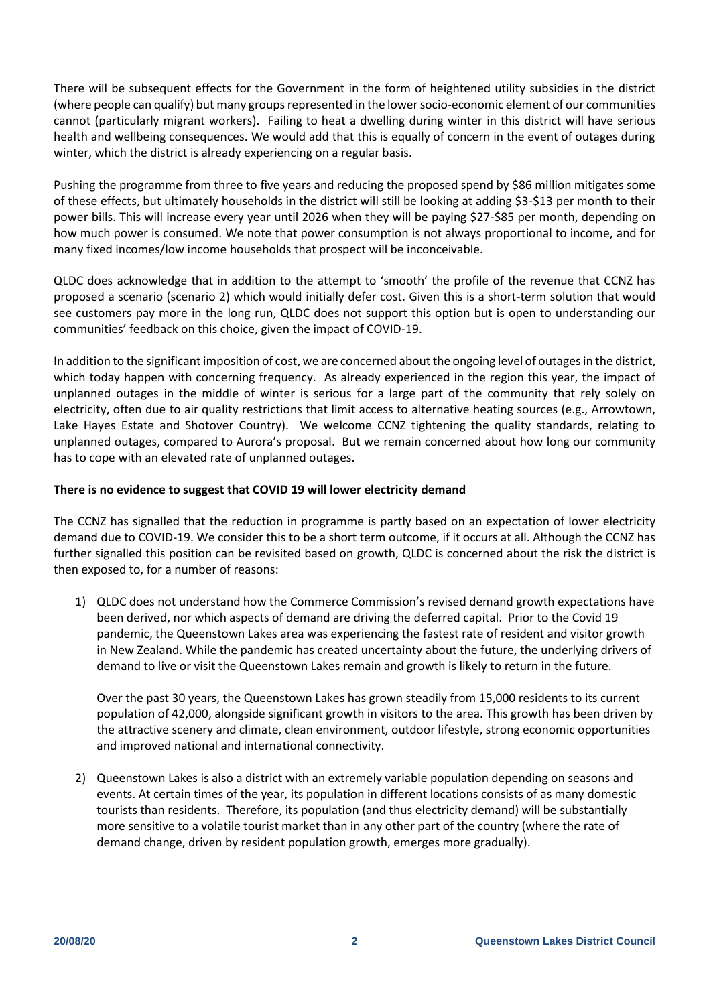There will be subsequent effects for the Government in the form of heightened utility subsidies in the district (where people can qualify) but many groups represented in the lower socio-economic element of our communities cannot (particularly migrant workers). Failing to heat a dwelling during winter in this district will have serious health and wellbeing consequences. We would add that this is equally of concern in the event of outages during winter, which the district is already experiencing on a regular basis.

Pushing the programme from three to five years and reducing the proposed spend by \$86 million mitigates some of these effects, but ultimately households in the district will still be looking at adding \$3-\$13 per month to their power bills. This will increase every year until 2026 when they will be paying \$27-\$85 per month, depending on how much power is consumed. We note that power consumption is not always proportional to income, and for many fixed incomes/low income households that prospect will be inconceivable.

QLDC does acknowledge that in addition to the attempt to 'smooth' the profile of the revenue that CCNZ has proposed a scenario (scenario 2) which would initially defer cost. Given this is a short-term solution that would see customers pay more in the long run, QLDC does not support this option but is open to understanding our communities' feedback on this choice, given the impact of COVID-19.

In addition to the significant imposition of cost, we are concerned about the ongoing level of outages in the district, which today happen with concerning frequency. As already experienced in the region this year, the impact of unplanned outages in the middle of winter is serious for a large part of the community that rely solely on electricity, often due to air quality restrictions that limit access to alternative heating sources (e.g., Arrowtown, Lake Hayes Estate and Shotover Country). We welcome CCNZ tightening the quality standards, relating to unplanned outages, compared to Aurora's proposal. But we remain concerned about how long our community has to cope with an elevated rate of unplanned outages.

### **There is no evidence to suggest that COVID 19 will lower electricity demand**

The CCNZ has signalled that the reduction in programme is partly based on an expectation of lower electricity demand due to COVID-19. We consider this to be a short term outcome, if it occurs at all. Although the CCNZ has further signalled this position can be revisited based on growth, QLDC is concerned about the risk the district is then exposed to, for a number of reasons:

1) QLDC does not understand how the Commerce Commission's revised demand growth expectations have been derived, nor which aspects of demand are driving the deferred capital. Prior to the Covid 19 pandemic, the Queenstown Lakes area was experiencing the fastest rate of resident and visitor growth in New Zealand. While the pandemic has created uncertainty about the future, the underlying drivers of demand to live or visit the Queenstown Lakes remain and growth is likely to return in the future.

Over the past 30 years, the Queenstown Lakes has grown steadily from 15,000 residents to its current population of 42,000, alongside significant growth in visitors to the area. This growth has been driven by the attractive scenery and climate, clean environment, outdoor lifestyle, strong economic opportunities and improved national and international connectivity.

2) Queenstown Lakes is also a district with an extremely variable population depending on seasons and events. At certain times of the year, its population in different locations consists of as many domestic tourists than residents. Therefore, its population (and thus electricity demand) will be substantially more sensitive to a volatile tourist market than in any other part of the country (where the rate of demand change, driven by resident population growth, emerges more gradually).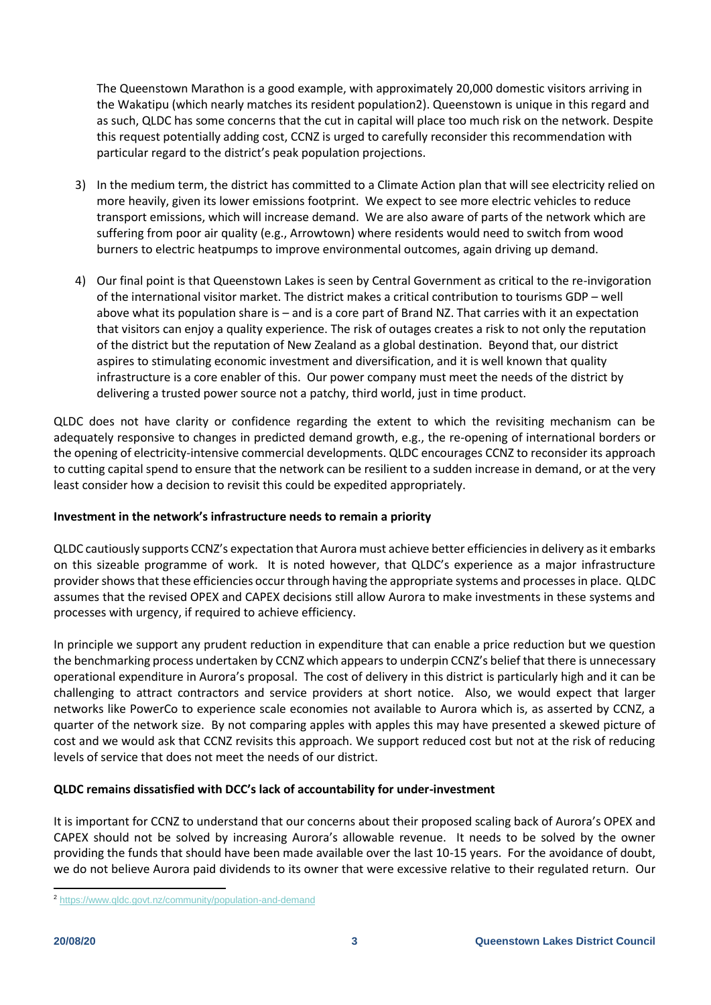The Queenstown Marathon is a good example, with approximately 20,000 domestic visitors arriving in the Wakatipu (which nearly matches its resident population2). Queenstown is unique in this regard and as such, QLDC has some concerns that the cut in capital will place too much risk on the network. Despite this request potentially adding cost, CCNZ is urged to carefully reconsider this recommendation with particular regard to the district's peak population projections.

- 3) In the medium term, the district has committed to a Climate Action plan that will see electricity relied on more heavily, given its lower emissions footprint. We expect to see more electric vehicles to reduce transport emissions, which will increase demand. We are also aware of parts of the network which are suffering from poor air quality (e.g., Arrowtown) where residents would need to switch from wood burners to electric heatpumps to improve environmental outcomes, again driving up demand.
- 4) Our final point is that Queenstown Lakes is seen by Central Government as critical to the re-invigoration of the international visitor market. The district makes a critical contribution to tourisms GDP – well above what its population share is – and is a core part of Brand NZ. That carries with it an expectation that visitors can enjoy a quality experience. The risk of outages creates a risk to not only the reputation of the district but the reputation of New Zealand as a global destination. Beyond that, our district aspires to stimulating economic investment and diversification, and it is well known that quality infrastructure is a core enabler of this. Our power company must meet the needs of the district by delivering a trusted power source not a patchy, third world, just in time product.

QLDC does not have clarity or confidence regarding the extent to which the revisiting mechanism can be adequately responsive to changes in predicted demand growth, e.g., the re-opening of international borders or the opening of electricity-intensive commercial developments. QLDC encourages CCNZ to reconsider its approach to cutting capital spend to ensure that the network can be resilient to a sudden increase in demand, or at the very least consider how a decision to revisit this could be expedited appropriately.

## **Investment in the network's infrastructure needs to remain a priority**

QLDC cautiously supports CCNZ's expectation that Aurora must achieve better efficiencies in delivery as it embarks on this sizeable programme of work. It is noted however, that QLDC's experience as a major infrastructure provider shows that these efficiencies occur through having the appropriate systems and processes in place. QLDC assumes that the revised OPEX and CAPEX decisions still allow Aurora to make investments in these systems and processes with urgency, if required to achieve efficiency.

In principle we support any prudent reduction in expenditure that can enable a price reduction but we question the benchmarking process undertaken by CCNZ which appears to underpin CCNZ's belief that there is unnecessary operational expenditure in Aurora's proposal. The cost of delivery in this district is particularly high and it can be challenging to attract contractors and service providers at short notice. Also, we would expect that larger networks like PowerCo to experience scale economies not available to Aurora which is, as asserted by CCNZ, a quarter of the network size. By not comparing apples with apples this may have presented a skewed picture of cost and we would ask that CCNZ revisits this approach. We support reduced cost but not at the risk of reducing levels of service that does not meet the needs of our district.

# **QLDC remains dissatisfied with DCC's lack of accountability for under-investment**

It is important for CCNZ to understand that our concerns about their proposed scaling back of Aurora's OPEX and CAPEX should not be solved by increasing Aurora's allowable revenue. It needs to be solved by the owner providing the funds that should have been made available over the last 10-15 years. For the avoidance of doubt, we do not believe Aurora paid dividends to its owner that were excessive relative to their regulated return. Our

 $\overline{a}$ <sup>2</sup> <https://www.qldc.govt.nz/community/population-and-demand>